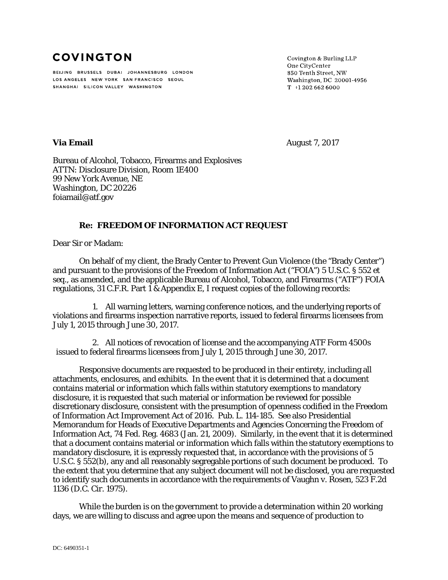# **COVINGTON**

BEIJING BRUSSELS DUBAI JOHANNESBURG LONDON LOS ANGELES NEW YORK SAN FRANCISCO SEOUL SHANGHAI SILICON VALLEY WASHINGTON

Covington & Burling LLP One CityCenter 850 Tenth Street, NW Washington, DC 20001-4956  $T$  +1 202 662 6000

**Via Email Via Email August 7, 2017** 

Bureau of Alcohol, Tobacco, Firearms and Explosives ATTN: Disclosure Division, Room 1E400 99 New York Avenue, NE Washington, DC 20226 foiamail@atf.gov

# **Re: FREEDOM OF INFORMATION ACT REQUEST**

Dear Sir or Madam:

On behalf of my client, the Brady Center to Prevent Gun Violence (the "Brady Center") and pursuant to the provisions of the Freedom of Information Act ("FOIA") 5 U.S.C. § 552 *et seq.*, as amended, and the applicable Bureau of Alcohol, Tobacco, and Firearms ("ATF") FOIA regulations, 31 C.F.R. Part 1 & Appendix E, I request copies of the following records:

1. All warning letters, warning conference notices, and the underlying reports of violations and firearms inspection narrative reports, issued to federal firearms licensees from July 1, 2015 through June 30, 2017.

2. All notices of revocation of license and the accompanying ATF Form 4500s issued to federal firearms licensees from July 1, 2015 through June 30, 2017.

Responsive documents are requested to be produced in their entirety, including all attachments, enclosures, and exhibits. In the event that it is determined that a document contains material or information which falls within statutory exemptions to mandatory disclosure, it is requested that such material or information be reviewed for possible discretionary disclosure, consistent with the presumption of openness codified in the Freedom of Information Act Improvement Act of 2016. Pub. L. 114-185. See also Presidential Memorandum for Heads of Executive Departments and Agencies Concerning the Freedom of Information Act, 74 Fed. Reg. 4683 (Jan. 21, 2009). Similarly, in the event that it is determined that a document contains material or information which falls within the statutory exemptions to mandatory disclosure, it is expressly requested that, in accordance with the provisions of 5 U.S.C. § 552(b), any and all reasonably segregable portions of such document be produced. To the extent that you determine that any subject document will not be disclosed, you are requested to identify such documents in accordance with the requirements of Vaughn v. Rosen, 523 F.2d 1136 (D.C. Cir. 1975).

While the burden is on the government to provide a determination within 20 working days, we are willing to discuss and agree upon the means and sequence of production to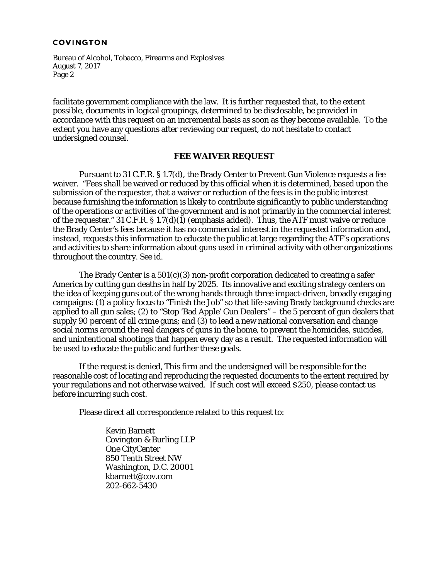#### **COVINGTON**

Bureau of Alcohol, Tobacco, Firearms and Explosives August 7, 2017 Page 2

facilitate government compliance with the law. It is further requested that, to the extent possible, documents in logical groupings, determined to be disclosable, be provided in accordance with this request on an incremental basis as soon as they become available. To the extent you have any questions after reviewing our request, do not hesitate to contact undersigned counsel.

## **FEE WAIVER REQUEST**

Pursuant to 31 C.F.R. § 1.7(d), the Brady Center to Prevent Gun Violence requests a fee waiver. "Fees *shall* be waived or reduced by this official when it is determined, based upon the submission of the requester, that a waiver or reduction of the fees is in the public interest because furnishing the information is likely to contribute significantly to public understanding of the operations or activities of the government and is not primarily in the commercial interest of the requester." 31 C.F.R.  $\S 1.7(d)(1)$  (emphasis added). Thus, the ATF must waive or reduce the Brady Center's fees because it has no commercial interest in the requested information and, instead, requests this information to educate the public at large regarding the ATF's operations and activities to share information about guns used in criminal activity with other organizations throughout the country. *See id.*

The Brady Center is a  $501(c)(3)$  non-profit corporation dedicated to creating a safer America by cutting gun deaths in half by 2025. Its innovative and exciting strategy centers on the idea of keeping guns out of the wrong hands through three impact-driven, broadly engaging campaigns: (1) a policy focus to "Finish the Job" so that life-saving Brady background checks are applied to all gun sales; (2) to "Stop 'Bad Apple' Gun Dealers" – the 5 percent of gun dealers that supply 90 percent of all crime guns; and (3) to lead a new national conversation and change social norms around the real dangers of guns in the home, to prevent the homicides, suicides, and unintentional shootings that happen every day as a result. The requested information will be used to educate the public and further these goals.

If the request is denied, This firm and the undersigned will be responsible for the reasonable cost of locating and reproducing the requested documents to the extent required by your regulations and not otherwise waived. If such cost will exceed \$250, please contact us before incurring such cost.

Please direct all correspondence related to this request to:

Kevin Barnett Covington & Burling LLP One CityCenter 850 Tenth Street NW Washington, D.C. 20001 kbarnett@cov.com 202-662-5430